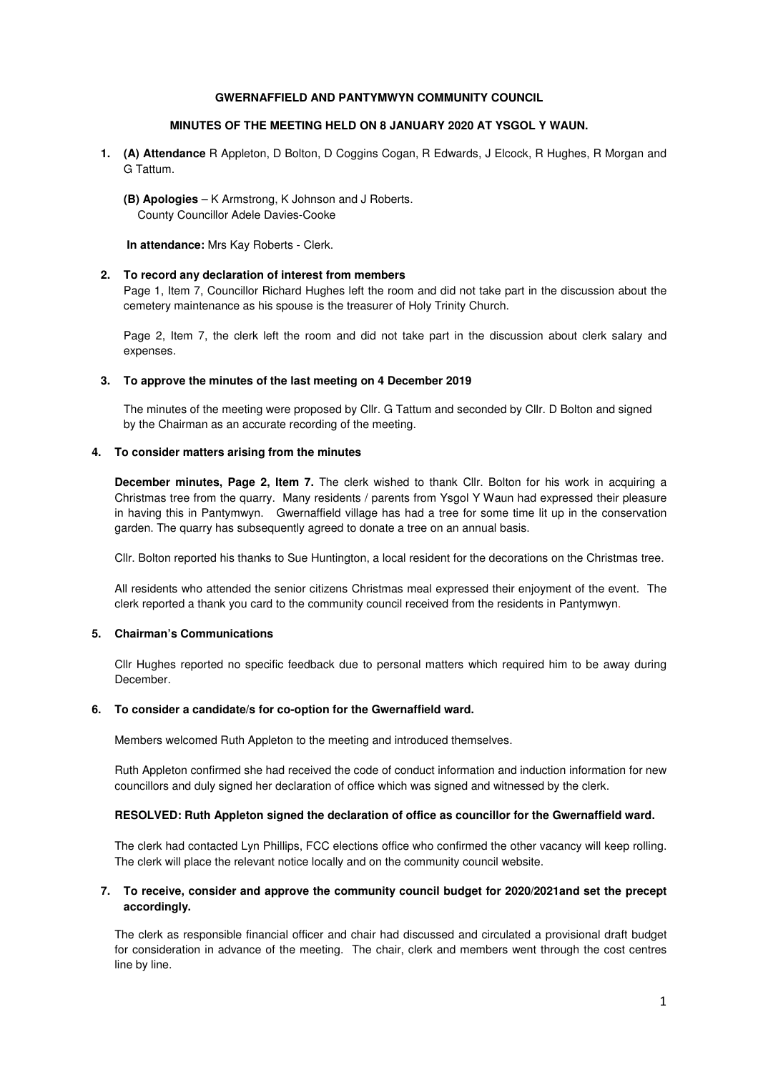## **GWERNAFFIELD AND PANTYMWYN COMMUNITY COUNCIL**

# **MINUTES OF THE MEETING HELD ON 8 JANUARY 2020 AT YSGOL Y WAUN.**

**1. (A) Attendance** R Appleton, D Bolton, D Coggins Cogan, R Edwards, J Elcock, R Hughes, R Morgan and G Tattum.

**(B) Apologies** – K Armstrong, K Johnson and J Roberts. County Councillor Adele Davies-Cooke

**In attendance:** Mrs Kay Roberts - Clerk.

### **2. To record any declaration of interest from members**

Page 1, Item 7, Councillor Richard Hughes left the room and did not take part in the discussion about the cemetery maintenance as his spouse is the treasurer of Holy Trinity Church.

Page 2, Item 7, the clerk left the room and did not take part in the discussion about clerk salary and expenses.

### **3. To approve the minutes of the last meeting on 4 December 2019**

The minutes of the meeting were proposed by Cllr. G Tattum and seconded by Cllr. D Bolton and signed by the Chairman as an accurate recording of the meeting.

## **4. To consider matters arising from the minutes**

**December minutes, Page 2, Item 7.** The clerk wished to thank Cllr. Bolton for his work in acquiring a Christmas tree from the quarry. Many residents / parents from Ysgol Y Waun had expressed their pleasure in having this in Pantymwyn. Gwernaffield village has had a tree for some time lit up in the conservation garden. The quarry has subsequently agreed to donate a tree on an annual basis.

Cllr. Bolton reported his thanks to Sue Huntington, a local resident for the decorations on the Christmas tree.

All residents who attended the senior citizens Christmas meal expressed their enjoyment of the event. The clerk reported a thank you card to the community council received from the residents in Pantymwyn.

# **5. Chairman's Communications**

Cllr Hughes reported no specific feedback due to personal matters which required him to be away during **December** 

#### **6. To consider a candidate/s for co-option for the Gwernaffield ward.**

Members welcomed Ruth Appleton to the meeting and introduced themselves.

Ruth Appleton confirmed she had received the code of conduct information and induction information for new councillors and duly signed her declaration of office which was signed and witnessed by the clerk.

# **RESOLVED: Ruth Appleton signed the declaration of office as councillor for the Gwernaffield ward.**

The clerk had contacted Lyn Phillips, FCC elections office who confirmed the other vacancy will keep rolling. The clerk will place the relevant notice locally and on the community council website.

# **7. To receive, consider and approve the community council budget for 2020/2021and set the precept accordingly.**

The clerk as responsible financial officer and chair had discussed and circulated a provisional draft budget for consideration in advance of the meeting. The chair, clerk and members went through the cost centres line by line.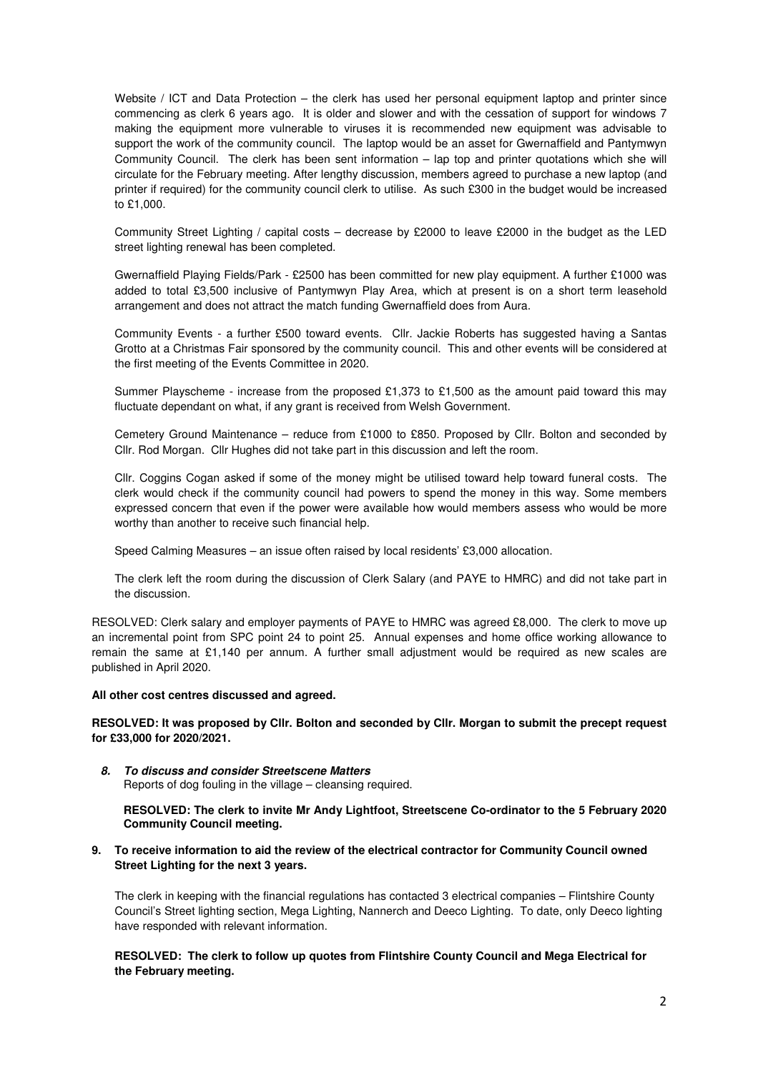Website / ICT and Data Protection – the clerk has used her personal equipment laptop and printer since commencing as clerk 6 years ago. It is older and slower and with the cessation of support for windows 7 making the equipment more vulnerable to viruses it is recommended new equipment was advisable to support the work of the community council. The laptop would be an asset for Gwernaffield and Pantymwyn Community Council. The clerk has been sent information – lap top and printer quotations which she will circulate for the February meeting. After lengthy discussion, members agreed to purchase a new laptop (and printer if required) for the community council clerk to utilise. As such £300 in the budget would be increased to £1,000.

Community Street Lighting / capital costs – decrease by £2000 to leave £2000 in the budget as the LED street lighting renewal has been completed.

Gwernaffield Playing Fields/Park - £2500 has been committed for new play equipment. A further £1000 was added to total £3,500 inclusive of Pantymwyn Play Area, which at present is on a short term leasehold arrangement and does not attract the match funding Gwernaffield does from Aura.

Community Events - a further £500 toward events. Cllr. Jackie Roberts has suggested having a Santas Grotto at a Christmas Fair sponsored by the community council. This and other events will be considered at the first meeting of the Events Committee in 2020.

Summer Playscheme - increase from the proposed £1,373 to £1,500 as the amount paid toward this may fluctuate dependant on what, if any grant is received from Welsh Government.

Cemetery Ground Maintenance – reduce from £1000 to £850. Proposed by Cllr. Bolton and seconded by Cllr. Rod Morgan. Cllr Hughes did not take part in this discussion and left the room.

Cllr. Coggins Cogan asked if some of the money might be utilised toward help toward funeral costs. The clerk would check if the community council had powers to spend the money in this way. Some members expressed concern that even if the power were available how would members assess who would be more worthy than another to receive such financial help.

Speed Calming Measures – an issue often raised by local residents' £3,000 allocation.

The clerk left the room during the discussion of Clerk Salary (and PAYE to HMRC) and did not take part in the discussion.

RESOLVED: Clerk salary and employer payments of PAYE to HMRC was agreed £8,000. The clerk to move up an incremental point from SPC point 24 to point 25. Annual expenses and home office working allowance to remain the same at £1,140 per annum. A further small adjustment would be required as new scales are published in April 2020.

# **All other cost centres discussed and agreed.**

**RESOLVED: It was proposed by Cllr. Bolton and seconded by Cllr. Morgan to submit the precept request for £33,000 for 2020/2021.** 

**8. To discuss and consider Streetscene Matters**  Reports of dog fouling in the village – cleansing required.

**RESOLVED: The clerk to invite Mr Andy Lightfoot, Streetscene Co-ordinator to the 5 February 2020 Community Council meeting.** 

# **9. To receive information to aid the review of the electrical contractor for Community Council owned Street Lighting for the next 3 years.**

The clerk in keeping with the financial regulations has contacted 3 electrical companies – Flintshire County Council's Street lighting section, Mega Lighting, Nannerch and Deeco Lighting. To date, only Deeco lighting have responded with relevant information.

**RESOLVED: The clerk to follow up quotes from Flintshire County Council and Mega Electrical for the February meeting.**